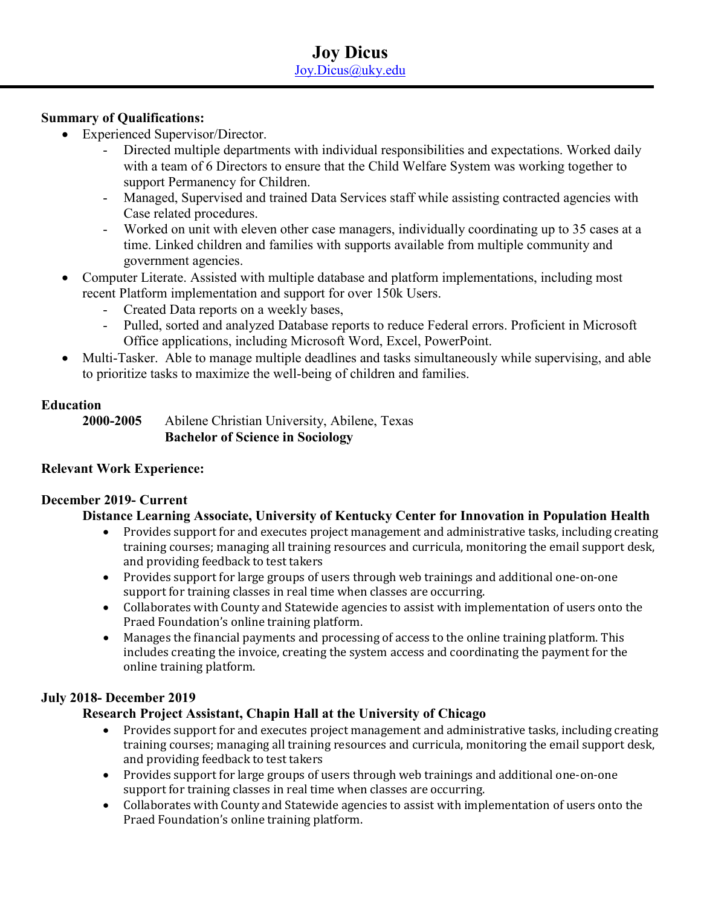## **Summary of Qualifications:**

- Experienced Supervisor/Director.
	- Directed multiple departments with individual responsibilities and expectations. Worked daily with a team of 6 Directors to ensure that the Child Welfare System was working together to support Permanency for Children.
	- Managed, Supervised and trained Data Services staff while assisting contracted agencies with Case related procedures.
	- Worked on unit with eleven other case managers, individually coordinating up to 35 cases at a time. Linked children and families with supports available from multiple community and government agencies.
- Computer Literate. Assisted with multiple database and platform implementations, including most recent Platform implementation and support for over 150k Users.
	- Created Data reports on a weekly bases,
	- Pulled, sorted and analyzed Database reports to reduce Federal errors. Proficient in Microsoft Office applications, including Microsoft Word, Excel, PowerPoint.
- Multi-Tasker. Able to manage multiple deadlines and tasks simultaneously while supervising, and able to prioritize tasks to maximize the well-being of children and families.

## **Education**

**2000-2005** Abilene Christian University, Abilene, Texas **Bachelor of Science in Sociology**

## **Relevant Work Experience:**

## **December 2019- Current**

## **Distance Learning Associate, University of Kentucky Center for Innovation in Population Health**

- Provides support for and executes project management and administrative tasks, including creating training courses; managing all training resources and curricula, monitoring the email support desk, and providing feedback to test takers
- Provides support for large groups of users through web trainings and additional one-on-one support for training classes in real time when classes are occurring.
- Collaborates with County and Statewide agencies to assist with implementation of users onto the Praed Foundation's online training platform.
- Manages the financial payments and processing of access to the online training platform. This includes creating the invoice, creating the system access and coordinating the payment for the online training platform.

## **July 2018- December 2019**

# **Research Project Assistant, Chapin Hall at the University of Chicago**

- Provides support for and executes project management and administrative tasks, including creating training courses; managing all training resources and curricula, monitoring the email support desk, and providing feedback to test takers
- Provides support for large groups of users through web trainings and additional one-on-one support for training classes in real time when classes are occurring.
- Collaborates with County and Statewide agencies to assist with implementation of users onto the Praed Foundation's online training platform.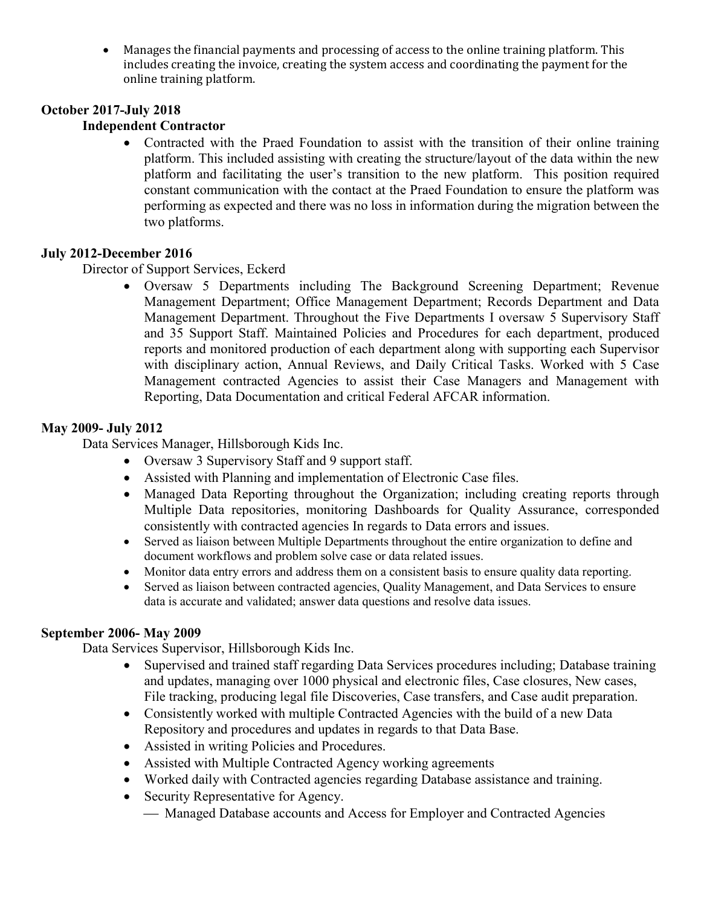• Manages the financial payments and processing of access to the online training platform. This includes creating the invoice, creating the system access and coordinating the payment for the online training platform.

## **October 2017-July 2018**

#### **Independent Contractor**

• Contracted with the Praed Foundation to assist with the transition of their online training platform. This included assisting with creating the structure/layout of the data within the new platform and facilitating the user's transition to the new platform. This position required constant communication with the contact at the Praed Foundation to ensure the platform was performing as expected and there was no loss in information during the migration between the two platforms.

#### **July 2012-December 2016**

## Director of Support Services, Eckerd

• Oversaw 5 Departments including The Background Screening Department; Revenue Management Department; Office Management Department; Records Department and Data Management Department. Throughout the Five Departments I oversaw 5 Supervisory Staff and 35 Support Staff. Maintained Policies and Procedures for each department, produced reports and monitored production of each department along with supporting each Supervisor with disciplinary action, Annual Reviews, and Daily Critical Tasks. Worked with 5 Case Management contracted Agencies to assist their Case Managers and Management with Reporting, Data Documentation and critical Federal AFCAR information.

#### **May 2009- July 2012**

Data Services Manager, Hillsborough Kids Inc.

- Oversaw 3 Supervisory Staff and 9 support staff.
- Assisted with Planning and implementation of Electronic Case files.
- Managed Data Reporting throughout the Organization; including creating reports through Multiple Data repositories, monitoring Dashboards for Quality Assurance, corresponded consistently with contracted agencies In regards to Data errors and issues.
- Served as liaison between Multiple Departments throughout the entire organization to define and document workflows and problem solve case or data related issues.
- Monitor data entry errors and address them on a consistent basis to ensure quality data reporting.
- Served as liaison between contracted agencies, Quality Management, and Data Services to ensure data is accurate and validated; answer data questions and resolve data issues.

## **September 2006- May 2009**

Data Services Supervisor, Hillsborough Kids Inc.

- Supervised and trained staff regarding Data Services procedures including; Database training and updates, managing over 1000 physical and electronic files, Case closures, New cases, File tracking, producing legal file Discoveries, Case transfers, and Case audit preparation.
- Consistently worked with multiple Contracted Agencies with the build of a new Data Repository and procedures and updates in regards to that Data Base.
- Assisted in writing Policies and Procedures.
- Assisted with Multiple Contracted Agency working agreements
- Worked daily with Contracted agencies regarding Database assistance and training.
- Security Representative for Agency.
	- Managed Database accounts and Access for Employer and Contracted Agencies